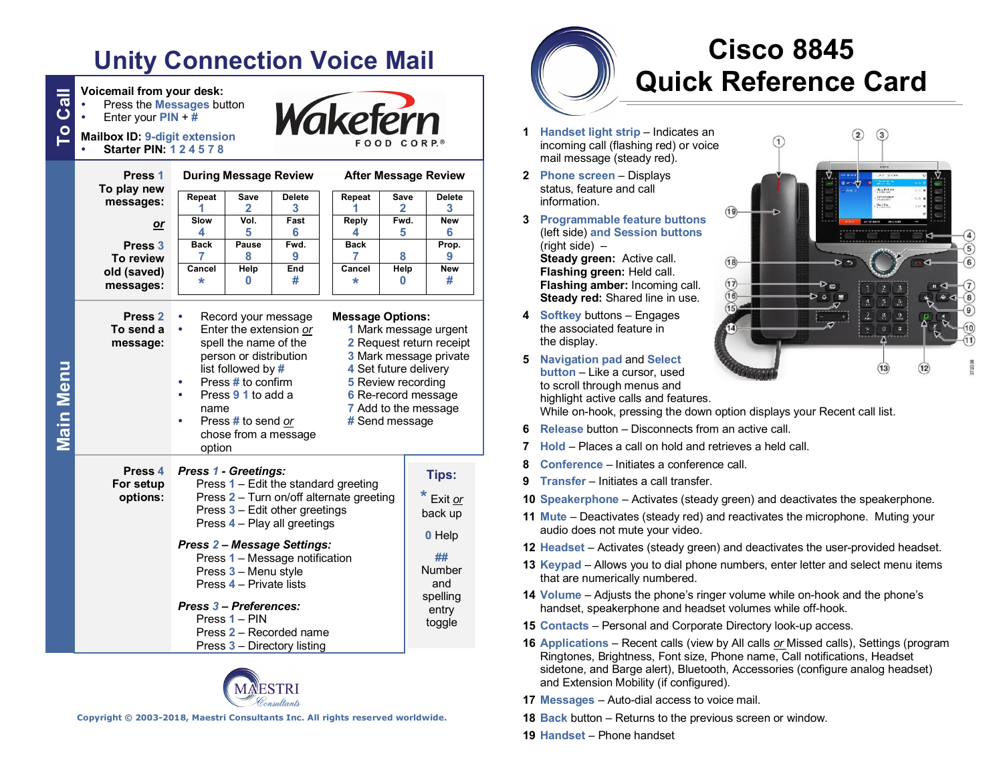# **Unity Connection Voice Mail**

**To CallVoicemail from your desk:**

| ි<br>උ<br>Press the Messages button<br>Enter your $PIN + #$<br><b>Mailbox ID: 9-digit extension</b><br><b>Starter PIN: 124578</b> |                                                                                                                                                                                                                                                                                                                                                                                                          |                           |                       | Wakefern                                                       |                | FOOD CORP.®                                                                                   |
|-----------------------------------------------------------------------------------------------------------------------------------|----------------------------------------------------------------------------------------------------------------------------------------------------------------------------------------------------------------------------------------------------------------------------------------------------------------------------------------------------------------------------------------------------------|---------------------------|-----------------------|----------------------------------------------------------------|----------------|-----------------------------------------------------------------------------------------------|
| Press 1<br>To play new                                                                                                            | <b>During Message Review</b><br>Repeat<br>Save<br><b>Delete</b>                                                                                                                                                                                                                                                                                                                                          |                           |                       | <b>After Message Review</b><br>Repeat<br>Save<br><b>Delete</b> |                |                                                                                               |
| messages:<br>or                                                                                                                   | 1<br>Slow<br>4                                                                                                                                                                                                                                                                                                                                                                                           | $\mathbf{2}$<br>Vol.<br>5 | 3<br>Fast<br>6        | 1<br>Reply<br>4                                                | 2<br>Fwd.<br>5 | 3<br><b>New</b><br>6                                                                          |
| Press <sub>3</sub><br>To review<br>old (saved)<br>messages:                                                                       | <b>Back</b><br>7<br>Cancel<br>÷                                                                                                                                                                                                                                                                                                                                                                          | Pause<br>8<br>Help<br>0   | Fwd.<br>9<br>End<br># | <b>Back</b><br>7<br>Cancel<br>÷                                | 8<br>Help<br>0 | Prop.<br>9<br>New<br>#                                                                        |
| Press <sub>2</sub><br>To send a<br>message:<br>Main Menu                                                                          | Record your message<br><b>Message Options:</b><br>Enter the extension or<br>٠<br>spell the name of the<br>person or distribution<br>list followed by #<br>4 Set future delivery<br>Press # to confirm<br>5 Review recording<br>Press 9 1 to add a<br>6 Re-record message<br>7 Add to the message<br>name<br># Send message<br>Press # to send or<br>chose from a message<br>option                       |                           |                       |                                                                |                | 1 Mark message urgent<br>2 Request return receipt<br>3 Mark message private                   |
| Press 4<br>For setup<br>options:                                                                                                  | Press 1 - Greetings:<br>Press 1 - Edit the standard greeting<br>Press 2 – Turn on/off alternate greeting<br>Press 3 - Edit other greetings<br>Press 4 - Play all greetings<br><b>Press 2-Message Settings:</b><br>Press 1 - Message notification<br>Press 3 - Menu style<br>Press 4 - Private lists<br>Press 3 - Preferences:<br>Press 1 - PIN<br>Press 2 - Recorded name<br>Press 3 - Directory listing |                           |                       |                                                                |                | Tips:<br>* Exit or<br>back up<br>0 Help<br>##<br>Number<br>and<br>spelling<br>entry<br>toggle |



**Copyright © 2003-2018, Maestri Consultants Inc. All rights reserved worldwide.**

# **Cisco 8845 Quick Reference Card**

- **1 Handset light strip** Indicates an incoming call (flashing red) or voice mail message (steady red).
- **2 Phone screen** Displays status, feature and call information.
- **3 Programmable feature buttons** (left side) **and Session buttons**  (right side) – **Steady green:** Active call. **Flashing green:** Held call. **Flashing amber:** Incoming call. **Steady red:** Shared line in use.
- **4 Softkey** buttons Engages the associated feature in the display.
- **5 Navigation pad** and **Select button** – Like a cursor, used to scroll through menus and highlight active calls and features.



While on-hook, pressing the down option displays your Recent call list.

- **6 Release** button Disconnects from an active call.
- **7 Hold** Places a call on hold and retrieves a held call.
- **8 Conference** Initiates a conference call.
- **9 Transfer** Initiates a call transfer.
- **10 Speakerphone** Activates (steady green) and deactivates the speakerphone.
- **11 Mute** Deactivates (steady red) and reactivates the microphone. Muting your audio does not mute your video.
- **12 Headset** Activates (steady green) and deactivates the user-provided headset.
- **13 Keypad** Allows you to dial phone numbers, enter letter and select menu items that are numerically numbered.
- **14 Volume** Adjusts the phone's ringer volume while on-hook and the phone's handset, speakerphone and headset volumes while off-hook.
- **15 Contacts** Personal and Corporate Directory look-up access.
- **16 Applications** Recent calls (view by All calls *or* Missed calls), Settings (program Ringtones, Brightness, Font size, Phone name, Call notifications, Headset sidetone, and Barge alert), Bluetooth, Accessories (configure analog headset) and Extension Mobility (if configured).
- **17 Messages** Auto-dial access to voice mail.
- **18 Back** button Returns to the previous screen or window.
- **19 Handset** Phone handset